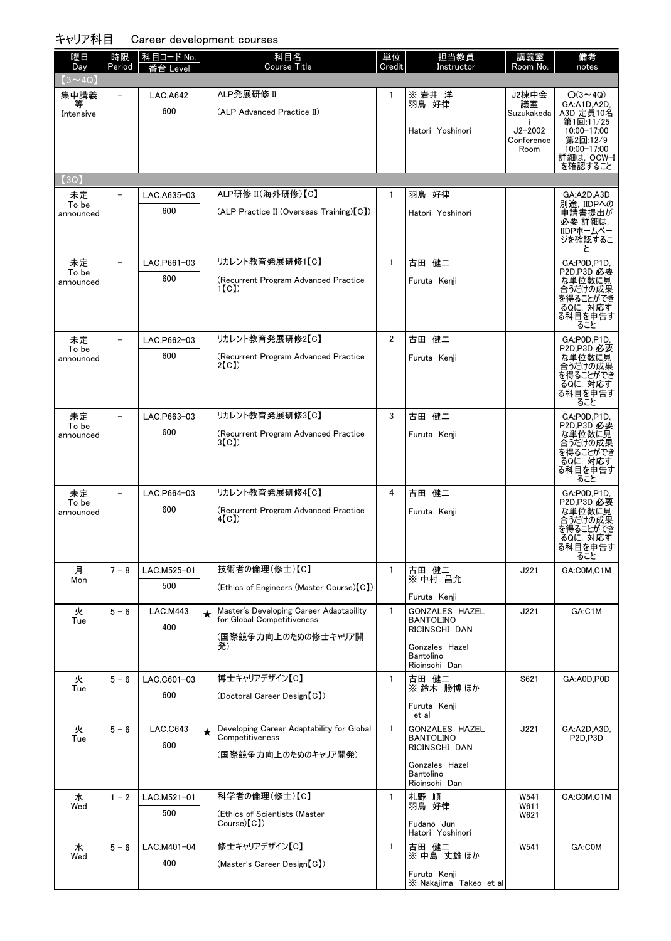| <b>Course Title</b><br>Credit<br>Day<br>Period<br>Instructor<br>Level<br>$(3 \sim 4Q)$<br>ALP発展研修 II<br>集中講義<br>※岩井洋<br><b>LAC.A642</b><br>$\mathbf{1}$<br>羽鳥 好律<br>600<br>(ALP Advanced Practice II)<br>Intensive |                    | 備考                               |
|--------------------------------------------------------------------------------------------------------------------------------------------------------------------------------------------------------------------|--------------------|----------------------------------|
|                                                                                                                                                                                                                    | Room No.           | notes                            |
|                                                                                                                                                                                                                    | J2棟中会              | $O(3 \sim 4Q)$                   |
|                                                                                                                                                                                                                    | 議室<br>Suzukakeda   | GA:A1D.A2D.<br>A3D 定員10名         |
| Hatori Yoshinori                                                                                                                                                                                                   | $J2 - 2002$        | 第1回:11/25<br>10:00-17:00         |
|                                                                                                                                                                                                                    | Conference<br>Room | 第2回:12/9<br>10:00-17:00          |
|                                                                                                                                                                                                                    |                    | 詳細は,OCW-I<br>を確認すること             |
| $\left( 3Q\right)$                                                                                                                                                                                                 |                    |                                  |
| ALP研修 II(海外研修)【C】<br>$\mathbf{1}$<br>羽鳥 好律<br>未定<br>LAC.A635-03<br>To be                                                                                                                                           |                    | GA:A2D,A3D<br>別途. IIDPへの         |
| 600<br>(ALP Practice II (Overseas Training) [C])<br>Hatori Yoshinori<br>announced                                                                                                                                  |                    | 申請書提出が<br>必要 詳細は,                |
|                                                                                                                                                                                                                    |                    | IIDPホームペー<br>ジを確認するこ             |
|                                                                                                                                                                                                                    |                    | と                                |
| リカレント教育発展研修1【C】<br>$\mathbf{1}$<br>古田 健二<br>未定<br>LAC.P661-03<br>To be                                                                                                                                             |                    | GA:P0D,P1D,<br>P2D,P3D 必要        |
| 600<br>(Recurrent Program Advanced Practice<br>Furuta Kenii<br>announced<br>1(C)                                                                                                                                   |                    | な単位数に見<br>合うだけの成果                |
|                                                                                                                                                                                                                    |                    | を得ることができ<br>るQに, 対応す             |
|                                                                                                                                                                                                                    |                    | る科目を申告す<br>ること                   |
| リカレント教育発展研修2【C】<br>$\overline{2}$<br>古田 健二<br>未定<br>LAC.P662-03                                                                                                                                                    |                    | GA:P0D,P1D,                      |
| To be<br>600<br>(Recurrent Program Advanced Practice<br>Furuta Kenji<br>announced<br>2[CI]                                                                                                                         |                    | P2D.P3D 必要<br>な単位数に見             |
|                                                                                                                                                                                                                    |                    | 合うだけの成果<br>を得ることができ              |
|                                                                                                                                                                                                                    |                    | るQに, 対応す<br>る科目を申告す              |
| リカレント教育発展研修3【C】<br>3<br>古田 健二<br>未定<br>LAC.P663-03                                                                                                                                                                 |                    | ること<br>GA:P0D,P1D,               |
| To be<br>600<br>(Recurrent Program Advanced Practice<br>Furuta Kenji<br>announced                                                                                                                                  |                    | P2D,P3D 必要<br>な単位数に見             |
| 3(C)                                                                                                                                                                                                               |                    | 合うだけの成果<br>を得ることができ              |
|                                                                                                                                                                                                                    |                    | るQに, 対応す<br>る科目を申告す              |
|                                                                                                                                                                                                                    |                    | ること                              |
| リカレント教育発展研修4【C】<br>未定<br>4<br>古田 健二<br>LAC.P664-03                                                                                                                                                                 |                    | GA:P0D,P1D,                      |
| To be                                                                                                                                                                                                              |                    | P2D.P3D 必要                       |
| 600<br>(Recurrent Program Advanced Practice<br>Furuta Kenji<br>announced<br>4(C)                                                                                                                                   |                    | な単位数に見<br>合うだけの成果                |
|                                                                                                                                                                                                                    |                    | を得ることができ<br>るQに、対応す              |
|                                                                                                                                                                                                                    |                    | る科目を申告す<br>ること                   |
| 技術者の倫理(修士)【C】<br>月<br>古田 健二<br>$7 - 8$<br>LAC.M525-01<br>$\mathbf{1}$                                                                                                                                              | J221               | GA:COM,C1M                       |
| ※ 中村 昌允<br>Mon<br>500<br>(Ethics of Engineers (Master Course) [C])                                                                                                                                                 |                    |                                  |
| Furuta Kenji<br>Master's Developing Career Adaptability<br>$5 - 6$<br><b>LAC.M443</b><br>$\mathbf{1}$<br><b>GONZALES HAZEL</b>                                                                                     | J221               | GA:C1M                           |
| 火<br>$\star$<br>for Global Competitiveness<br><b>BANTOLINO</b><br>Tue<br>400<br>RICINSCHI DAN                                                                                                                      |                    |                                  |
| (国際競争力向上のための修士キャリア開<br>発)<br>Gonzales Hazel                                                                                                                                                                        |                    |                                  |
| Bantolino<br>Ricinschi Dan                                                                                                                                                                                         |                    |                                  |
| 博士キャリアデザイン【C】<br>火<br>LAC.C601-03<br>$\mathbf{1}$<br>古田 健二<br>$5 - 6$                                                                                                                                              | S621               | GA:A0D,P0D                       |
| ※ 鈴木 勝博 ほか<br>Tue<br>600<br>(Doctoral Career Design [C])                                                                                                                                                           |                    |                                  |
| Furuta Kenji<br>et al                                                                                                                                                                                              |                    |                                  |
| Developing Career Adaptability for Global<br>火<br>$\mathbf{1}$<br><b>GONZALES HAZEL</b><br>$5 - 6$<br>LAC.C643<br>$\star$<br>Competitiveness                                                                       | J221               | GA:A2D,A3D,                      |
| <b>BANTOLINO</b><br>Tue<br>600<br>RICINSCHI DAN                                                                                                                                                                    |                    | P <sub>2D</sub> ,P <sub>3D</sub> |
| (国際競争力向上のためのキャリア開発)<br>Gonzales Hazel                                                                                                                                                                              |                    |                                  |
| Bantolino<br>Ricinschi Dan                                                                                                                                                                                         |                    |                                  |
| 科学者の倫理(修士)【C】<br>札野 順<br>$\mathbf{1}$<br>水<br>$1 - 2$<br>LAC.M521-01<br>羽鳥 好律<br>Wed                                                                                                                               | W541<br>W611       | GA:COM,C1M                       |
| 500<br>(Ethics of Scientists (Master<br>Course(C)<br>Fudano Jun                                                                                                                                                    | W621               |                                  |
| Hatori Yoshinori                                                                                                                                                                                                   |                    |                                  |
| 修士キャリアデザイン【C】<br>水<br>古田 健二<br>※ 中島 丈雄ほか<br>$5 - 6$<br>LAC.M401-04<br>$\mathbf{1}$<br>Wed<br>400<br>(Master's Career Design [C])                                                                                   | W541               | GA:COM                           |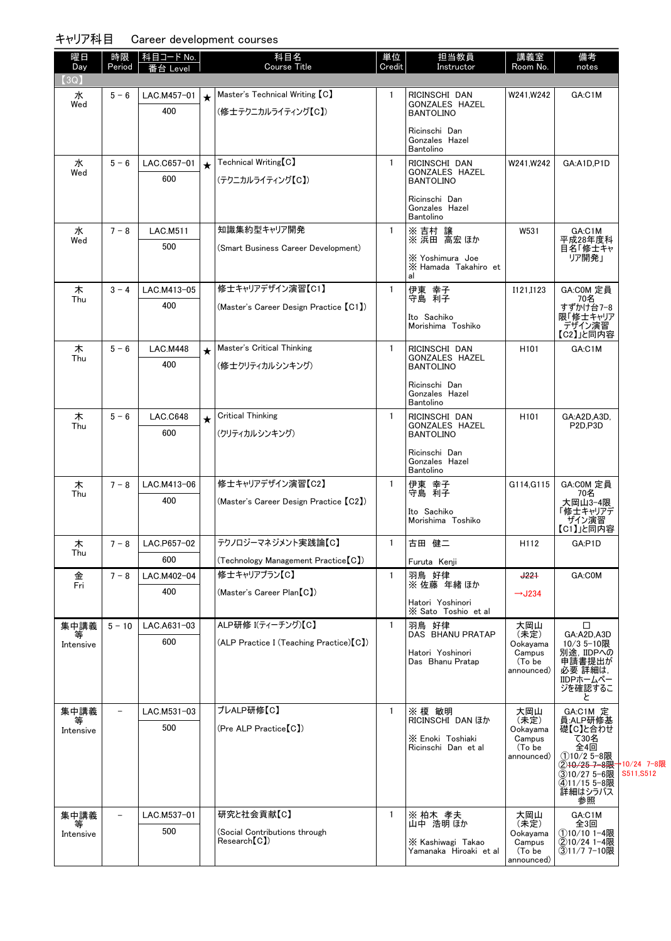| 曜日<br>Day      | 時限<br>Period      | 科目コード No.<br>i台 Level |         | 科目名<br><b>Course Title</b>                           | 単位<br>Credit | 担当教員<br>Instructor                                  | 講義室<br>Room No.              | 備考<br>notes                                       |           |
|----------------|-------------------|-----------------------|---------|------------------------------------------------------|--------------|-----------------------------------------------------|------------------------------|---------------------------------------------------|-----------|
| 3Q)            |                   |                       |         |                                                      |              |                                                     |                              |                                                   |           |
| 水<br>Wed       | $5 - 6$           | LAC.M457-01<br>400    | $\star$ | Master's Technical Writing [C]<br>(修士テクニカルライティング【C】) | $\mathbf{1}$ | RICINSCHI DAN<br>GONZALES HAZEL<br><b>BANTOLINO</b> | W241,W242                    | GA:C1M                                            |           |
|                |                   |                       |         |                                                      |              | Ricinschi Dan<br>Gonzales Hazel<br>Bantolino        |                              |                                                   |           |
| 水              | $5 - 6$           | LAC.C657-01           | $\star$ | Technical Writing [C]                                | $\mathbf{1}$ | RICINSCHI DAN<br>GONZALES HAZEL                     | W241.W242                    | GA:A1D.P1D                                        |           |
| Wed            |                   | 600                   |         | (テクニカルライティング【C】)                                     |              | <b>BANTOLINO</b>                                    |                              |                                                   |           |
|                |                   |                       |         |                                                      |              | Ricinschi Dan<br>Gonzales Hazel<br>Bantolino        |                              |                                                   |           |
| 水<br>Wed       | $7 - 8$           | <b>LAC.M511</b>       |         | 知識集約型キャリア開発                                          | $\mathbf{1}$ | ※ 吉村 譲<br>※ 浜田 高宏 ほか                                | W531                         | GA:C1M<br>平成28年度科                                 |           |
|                |                   | 500                   |         | (Smart Business Career Development)                  |              | X Yoshimura Joe<br>X Hamada Takahiro et<br>al       |                              | 目名「修士キャ<br>リア開発」                                  |           |
| 木<br>Thu       | $3 - 4$           | LAC.M413-05           |         | 修士キャリアデザイン演習【C1】                                     | $\mathbf{1}$ | 伊東 幸子<br>守島 利子                                      | I121.I123                    | GA:COM 定員<br>70名                                  |           |
|                |                   | 400                   |         | (Master's Career Design Practice [C1])               |              | Ito Sachiko<br>Morishima Toshiko                    |                              | すずかけ台7-8<br>限「修士キャリア<br>デザイン演習<br>【C2】」と同内容       |           |
| 木<br>Thu       | $5 - 6$           | <b>LAC.M448</b>       | $\star$ | Master's Critical Thinking                           | $\mathbf{1}$ | RICINSCHI DAN<br><b>GONZALES HAZEL</b>              | H <sub>101</sub>             | GA:C1M                                            |           |
|                |                   | 400                   |         | (修士クリティカルシンキング)                                      |              | <b>BANTOLINO</b>                                    |                              |                                                   |           |
|                |                   |                       |         |                                                      |              | Ricinschi Dan<br>Gonzales Hazel<br>Bantolino        |                              |                                                   |           |
| 木<br>Thu       | $5 - 6$           | <b>LAC.C648</b>       | $\star$ | <b>Critical Thinking</b>                             | $\mathbf{1}$ | RICINSCHI DAN<br>GONZALES HAZEL                     | H <sub>101</sub>             | GA:A2D,A3D,<br>P <sub>2D,P3D</sub>                |           |
|                |                   | 600                   |         | (クリティカルシンキング)                                        |              | <b>BANTOLINO</b>                                    |                              |                                                   |           |
|                |                   |                       |         |                                                      |              | Ricinschi Dan<br>Gonzales Hazel<br>Bantolino        |                              |                                                   |           |
| 木<br>Thu       | $7 - 8$           | LAC.M413-06           |         | 修士キャリアデザイン演習【C2】                                     | $\mathbf{1}$ | 伊東 幸子<br>守島 利子                                      | G114, G115                   | GA:COM 定員<br>70名                                  |           |
|                |                   | 400                   |         | (Master's Career Design Practice [C2])               |              | Ito Sachiko<br>Morishima Toshiko                    |                              | 大岡山3-4限<br>「修士キャリアデ<br>- ザイン演習<br>【C1】」と同内容       |           |
| 木<br>Thu       | $7 - 8$           | LAC.P657-02           |         | テクノロジーマネジメント実践論【C】                                   | $\mathbf{1}$ | 古田 健二                                               | H112                         | GA:P1D                                            |           |
|                |                   | 600                   |         | (Technology Management Practice [C])                 |              | Furuta Kenji                                        |                              |                                                   |           |
| 金<br>Fri       | $7 - 8$           | LAC.M402-04<br>400    |         | 修士キャリアプラン【C】<br>(Master's Career Plan [C])           | $\mathbf{1}$ | 羽鳥 好律<br>※ 佐藤 年緒ほか                                  | $+22+$                       | GA:COM                                            |           |
|                |                   |                       |         |                                                      |              | Hatori Yoshinori<br>X Sato Toshio et al             | $\rightarrow$ J234           |                                                   |           |
| 集中講義           | $5 - 10$          | LAC.A631-03           |         | ALP研修 I(ティーチング)【C】                                   | $\mathbf{1}$ | 羽鳥 好律<br><b>DAS BHANU PRATAP</b>                    | 大岡山<br>(未定)                  | □<br>GA:A2D.A3D                                   |           |
| 等<br>Intensive |                   | 600                   |         | (ALP Practice I (Teaching Practice) [C])             |              | Hatori Yoshinori                                    | Ookayama<br>Campus           | 10/3 5-10限<br>別途, IIDPへの                          |           |
|                |                   |                       |         |                                                      |              | Das Bhanu Pratap                                    | (To be<br>announced)         | 申請書提出が<br>必要 詳細は,<br>IIDPホームペー<br>ジを確認するこ         |           |
|                |                   |                       |         |                                                      |              |                                                     |                              | と                                                 |           |
| 集中講義           |                   | LAC.M531-03<br>500    |         | プレALP研修【C】<br>(Pre ALP Practice[C])                  | 1            | ※ 榎 敏明<br><b>RICINSCHI DAN ほか</b>                   | 大岡山<br>(未定)                  | GA:C1M 定<br>員:ALP研修基<br>礎【C】と合わせ                  |           |
| Intensive      |                   |                       |         |                                                      |              | X Enoki Toshiaki<br>Ricinschi Dan et al             | Ookayama<br>Campus<br>(To be | て30名<br>全4回                                       |           |
|                |                   |                       |         |                                                      |              |                                                     | announced)                   | ①10/2 5-8限<br>② <del>10/25 7-8限 1</del> 0/24 7-8限 |           |
|                |                   |                       |         |                                                      |              |                                                     |                              | ③10/27 5-6限<br>4)11/15 5-8限                       | S511,S512 |
|                |                   |                       |         |                                                      |              |                                                     |                              | 詳細はシラバス<br>参照                                     |           |
| 集中講義<br>等      | $\qquad \qquad -$ | LAC.M537-01           |         | 研究と社会貢献【C】                                           | $\mathbf{1}$ | ※ 柏木 孝夫<br>山中 浩明 ほか                                 | 大岡山<br>(未定)                  | GA:C1M<br>全3回                                     |           |
| Intensive      |                   | 500                   |         | (Social Contributions through<br>Research [C])       |              | X Kashiwagi Takao                                   | Ookayama<br>Campus           | ①10/10 1-4限<br>②10/24 1-4限                        |           |
|                |                   |                       |         |                                                      |              | Yamanaka Hiroaki et al                              | (To be<br>announced)         | ③11/7 7-10限                                       |           |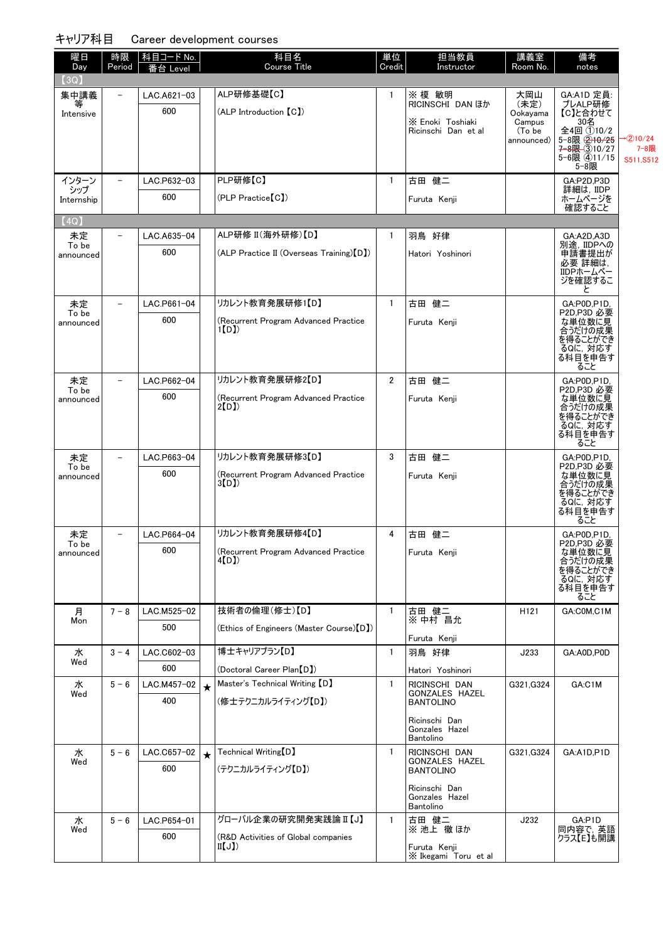| 曜日<br>Day          | 時限                       | │科目コード No.│        |         | 科目名<br><b>Course Title</b>                                   | 単位<br>Credit   | 担当教員                                    | 講義室<br>Room No.  | 備考                                                 |                  |
|--------------------|--------------------------|--------------------|---------|--------------------------------------------------------------|----------------|-----------------------------------------|------------------|----------------------------------------------------|------------------|
| $\left( 3Q\right)$ | Period                   | ≸台 Level           |         |                                                              |                | Instructor                              |                  | notes                                              |                  |
| 集中講義               | $\overline{\phantom{a}}$ | LAC.A621-03        |         | ALP研修基礎【C】                                                   | $\mathbf{1}$   | ※ 榎 敏明                                  | 大岡山              | GA:A1D 定員:                                         |                  |
| Intensive          |                          | 600                |         | (ALP Introduction [C])                                       |                | <b>RICINSCHI DAN ほか</b>                 | (未定)<br>Ookayama | プレALP研修<br>【C】と合わせて                                |                  |
|                    |                          |                    |         |                                                              |                | X Enoki Toshiaki<br>Ricinschi Dan et al | Campus<br>(To be | 30名<br>全4回 ①10/2                                   |                  |
|                    |                          |                    |         |                                                              |                |                                         | announced)       | $5 - 8 \times 2 + 6 \times 25$<br>$7 - 8 + 310/27$ | (2)10/24<br>7-8限 |
|                    |                          |                    |         |                                                              |                |                                         |                  | 5-6限 411/15<br>5-8限                                | S511,S512        |
| インターン              |                          | LAC.P632-03        |         | PLP研修【C】                                                     | $\mathbf{1}$   | 古田 健二                                   |                  | GA:P2D,P3D                                         |                  |
| シップ<br>Internship  |                          | 600                |         | (PLP Practice【C】)                                            |                | Furuta Kenji                            |                  | 詳細は. IIDP<br>ホームページを                               |                  |
| [4Q]               |                          |                    |         |                                                              |                |                                         |                  | 確認すること                                             |                  |
| 未定                 |                          | LAC.A635-04        |         | ALP研修 II(海外研修)【D】                                            | $\mathbf{1}$   | 羽鳥 好律                                   |                  | GA:A2D,A3D                                         |                  |
| To be<br>announced |                          | 600                |         | (ALP Practice II (Overseas Training) [D])                    |                | Hatori Yoshinori                        |                  | 別途, IIDPへの<br>申請書提出が                               |                  |
|                    |                          |                    |         |                                                              |                |                                         |                  | 必要 詳細は,<br>IIDPホームペー                               |                  |
|                    |                          |                    |         |                                                              |                |                                         |                  | ジを確認するこ                                            |                  |
| 未定                 |                          | LAC.P661-04        |         | リカレント教育発展研修1【D】                                              | $\mathbf{1}$   | 古田 健二                                   |                  | と<br>GA:P0D,P1D,                                   |                  |
| To be<br>announced |                          | 600                |         | (Recurrent Program Advanced Practice                         |                | Furuta Kenji                            |                  | P2D,P3D 必要<br>な単位数に見                               |                  |
|                    |                          |                    |         | 1(D)                                                         |                |                                         |                  | 合うだけの成果<br>を得ることができ                                |                  |
|                    |                          |                    |         |                                                              |                |                                         |                  | るQに, 対応す<br>る科目を申告す                                |                  |
|                    |                          |                    |         |                                                              |                |                                         |                  | ること                                                |                  |
| 未定<br>To be        | $\overline{\phantom{0}}$ | LAC.P662-04        |         | リカレント教育発展研修2【D】                                              | $\overline{2}$ | 古田 健二                                   |                  | GA:P0D,P1D,<br>P2D,P3D 必要                          |                  |
| announced          |                          | 600                |         | (Recurrent Program Advanced Practice)<br>2[D])               |                | Furuta Kenji                            |                  | な単位数に見<br>合うだけの成果                                  |                  |
|                    |                          |                    |         |                                                              |                |                                         |                  | を得ることができ<br>るQに, 対応す                               |                  |
|                    |                          |                    |         |                                                              |                |                                         |                  | る科目を申告す                                            |                  |
| 未定                 |                          | LAC.P663-04        |         | リカレント教育発展研修3【D】                                              | 3              | 古田 健二                                   |                  | ること<br>GA:P0D,P1D,                                 |                  |
| To be<br>announced |                          | 600                |         | (Recurrent Program Advanced Practice                         |                | Furuta Kenji                            |                  | P2D,P3D 必要<br>な単位数に見                               |                  |
|                    |                          |                    |         | 3(D)                                                         |                |                                         |                  | 合うだけの成果<br>を得ることができ                                |                  |
|                    |                          |                    |         |                                                              |                |                                         |                  | るQに, 対応す<br>る科目を申告す                                |                  |
|                    |                          |                    |         |                                                              |                |                                         |                  | ること                                                |                  |
| 未定<br>To be        | $\overline{\phantom{a}}$ | LAC.P664-04        |         | リカレント教育発展研修4【D】                                              | 4              | 古田 健二                                   |                  | GA:P0D,P1D,<br>P2D,P3D 必要                          |                  |
| announced          |                          | 600                |         | (Recurrent Program Advanced Practice<br>4[D])                |                | Furuta Kenji                            |                  | な単位数に見<br>合うだけの成果                                  |                  |
|                    |                          |                    |         |                                                              |                |                                         |                  | を得ることができ<br>るQに, 対応す                               |                  |
|                    |                          |                    |         |                                                              |                |                                         |                  | る科目を申告す<br>ること                                     |                  |
| 月                  | $7 - 8$                  | LAC.M525-02        |         | 技術者の倫理(修士)【D】                                                | $\mathbf{1}$   | 古田 健二                                   | H <sub>121</sub> | GA:COM,C1M                                         |                  |
| Mon                |                          | 500                |         | (Ethics of Engineers (Master Course)【D】)                     |                | ※ 中村 昌允                                 |                  |                                                    |                  |
|                    |                          |                    |         |                                                              |                | Furuta Kenji                            |                  |                                                    |                  |
| 水<br>Wed           | $3 - 4$                  | LAC.C602-03<br>600 |         | 博士キャリアプラン【D】                                                 | $\mathbf{1}$   | 羽鳥 好律                                   | J233             | GA:A0D,P0D                                         |                  |
| 水                  | $5 - 6$                  | LAC.M457-02        |         | (Doctoral Career Plan [D])<br>Master's Technical Writing [D] | $\mathbf{1}$   | Hatori Yoshinori<br>RICINSCHI DAN       | G321, G324       | GA:C1M                                             |                  |
| Wed                |                          | 400                | $\star$ | (修士テクニカルライティング【D】)                                           |                | GONZALES HAZEL<br><b>BANTOLINO</b>      |                  |                                                    |                  |
|                    |                          |                    |         |                                                              |                |                                         |                  |                                                    |                  |
|                    |                          |                    |         |                                                              |                | Ricinschi Dan<br>Gonzales Hazel         |                  |                                                    |                  |
| 水                  | $5 - 6$                  | LAC.C657-02        |         | Technical Writing [D]                                        | $\mathbf{1}$   | Bantolino<br>RICINSCHI DAN              | G321, G324       | GA:A1D,P1D                                         |                  |
| Wed                |                          | 600                |         | (テクニカルライティング【D】)                                             |                | GONZALES HAZEL<br><b>BANTOLINO</b>      |                  |                                                    |                  |
|                    |                          |                    |         |                                                              |                | Ricinschi Dan                           |                  |                                                    |                  |
|                    |                          |                    |         |                                                              |                | Gonzales Hazel                          |                  |                                                    |                  |
| 水                  | $5 - 6$                  | LAC.P654-01        |         | グローバル企業の研究開発実践論 II 【J】                                       | $\mathbf{1}$   | Bantolino<br>古田 健二                      | J232             | GA:P1D                                             |                  |
| Wed                |                          | 600                |         | (R&D Activities of Global companies                          |                | ※池上 徹ほか                                 |                  | 同内容で、 英語<br>クラス【E】も開講                              |                  |
|                    |                          |                    |         | II(J)                                                        |                | Furuta Kenii<br>X Ikegami Toru et al    |                  |                                                    |                  |
|                    |                          |                    |         |                                                              |                |                                         |                  |                                                    |                  |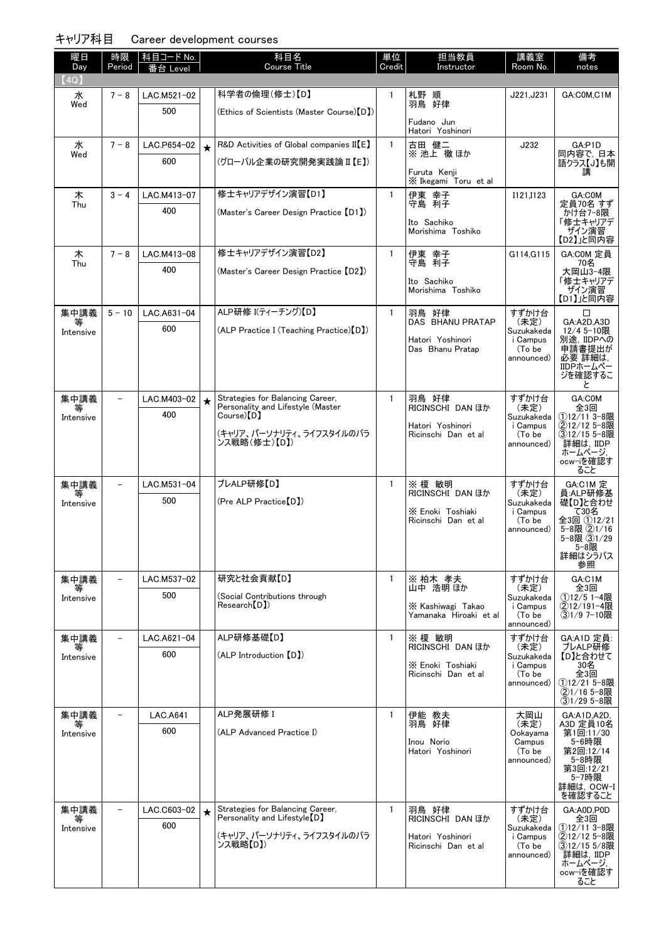| 曜日<br>Day      | 時限<br>Period             | 科目コード <u>No.</u>   |            | 科目名<br><b>Course Title</b>                                          | 単位<br>Credit | 担当教員<br>Instructor                      | 講義室<br>Room No.        | 備考<br>notes                  |
|----------------|--------------------------|--------------------|------------|---------------------------------------------------------------------|--------------|-----------------------------------------|------------------------|------------------------------|
| (4Q)           |                          | _evel              |            |                                                                     |              |                                         |                        |                              |
| 水              | $7 - 8$                  | LAC.M521-02        |            | 科学者の倫理(修士)【D】                                                       | $\mathbf{1}$ | 札野 順                                    | J221, J231             | GA:C0M,C1M                   |
| Wed            |                          | 500                |            | (Ethics of Scientists (Master Course)【D】)                           |              | 羽鳥 好律                                   |                        |                              |
|                |                          |                    |            |                                                                     |              | Fudano Jun<br>Hatori Yoshinori          |                        |                              |
| 水<br>Wed       | $7 - 8$                  | LAC.P654-02        | $\bigstar$ | $R&D$ Activities of Global companies II $[E]$                       | $\mathbf{1}$ | 古田 健二<br>※ 池上 徹 ほか                      | J232                   | GA:P1D<br>同内容で, 日本           |
|                |                          | 600                |            | (グローバル企業の研究開発実践論 II 【E】)                                            |              | Furuta Kenii                            |                        | 語クラス【J】も開<br>講               |
|                |                          |                    |            |                                                                     |              | X Ikegami Toru et al                    |                        |                              |
| 木<br>Thu       | $3 - 4$                  | LAC.M413-07        |            | 修士キャリアデザイン演習【D1】                                                    | $\mathbf{1}$ | 伊東 幸子<br>守島 利子                          | I121, I123             | GA:C0M<br>定員70名 すず           |
|                |                          | 400                |            | (Master's Career Design Practice 【D1】)                              |              | Ito Sachiko                             |                        | かけ台7-8限<br>「修士キャリアデ          |
|                |                          |                    |            |                                                                     |              | Morishima Toshiko                       |                        | ザイン演習<br>【D2】」と同内容           |
| 木              | $7 - 8$                  | LAC.M413-08        |            | 修士キャリアデザイン演習【D2】                                                    | $\mathbf{1}$ | 伊東 幸子                                   | G114, G115             | GA:COM 定員                    |
| Thu            |                          | 400                |            | (Master's Career Design Practice【D2】)                               |              | 守島 利子                                   |                        | 70名<br>大岡山3-4限               |
|                |                          |                    |            |                                                                     |              | Ito Sachiko<br>Morishima Toshiko        |                        | 「修士キャリアデ<br>ザイン演習            |
| 集中講義           | $5 - 10$                 | LAC.A631-04        |            | ALP研修 I(ティーチング)【D】                                                  | $\mathbf{1}$ | 羽鳥 好律                                   | すずかけ台                  | 【D1】」と同内容<br>□               |
| 等              |                          | 600                |            | (ALP Practice I (Teaching Practice)[D])                             |              | <b>DAS BHANU PRATAP</b>                 | (未定)                   | GA:A2D,A3D<br>12/4 5-10限     |
| Intensive      |                          |                    |            |                                                                     |              | Hatori Yoshinori                        | Suzukakeda<br>i Campus | 別途, IIDPへの                   |
|                |                          |                    |            |                                                                     |              | Das Bhanu Pratap                        | (To be<br>announced)   | 申請書提出が<br>必要 詳細は,            |
|                |                          |                    |            |                                                                     |              |                                         |                        | IIDPホームペー<br>ジを確認するこ         |
| 集中講義           |                          | LAC.M403-02        | $\star$    | Strategies for Balancing Career,                                    | $\mathbf{1}$ | 羽鳥 好律                                   | すずかけ台                  | と<br>GA:COM                  |
| 等<br>Intensive |                          | 400                |            | Personality and Lifestyle (Master<br>$\text{Course}(\mathsf{D})$    |              | <b>RICINSCHI DAN ほか</b>                 | (未定)<br>Suzukakeda     | 全3回<br>①12/11 3-8限           |
|                |                          |                    |            | (キャリア、パーソナリティ、ライフスタイルのバラ                                            |              | Hatori Yoshinori<br>Ricinschi Dan et al | i Campus<br>(To be     | ②12/12 5-8限<br>③12/15 5-8限   |
|                |                          |                    |            | ンス戦略(修士)【D】)                                                        |              |                                         | announced)             | 詳細は, IIDP<br>ホームページ.         |
|                |                          |                    |            |                                                                     |              |                                         |                        | ocw-iを確認す<br>ること             |
| 集中講義           |                          | LAC.M531-04        |            | プレALP研修【D】                                                          | $\mathbf{1}$ | ※ 榎 敏明                                  | すずかけ台                  | GA:C1M 定                     |
| Intensive      |                          | 500                |            | (Pre ALP Practice【D】)                                               |              | <b>RICINSCHI DAN ほか</b>                 | (未定)<br>Suzukakeda     | 員:ALP研修基<br>礎【D】と合わせ         |
|                |                          |                    |            |                                                                     |              | X Enoki Toshiaki<br>Ricinschi Dan et al | i Campus<br>(To be     | て30名<br>全3回 ①12/21           |
|                |                          |                    |            |                                                                     |              |                                         | announced)             | 5-8限 (2)1/16<br>5-8限 ③1/29   |
|                |                          |                    |            |                                                                     |              |                                         |                        | 5-8限<br>詳細はシラバス              |
| 集中講義           |                          | LAC.M537-02        |            | 研究と社会貢献【D】                                                          | $\mathbf{1}$ | ※ 柏木 孝夫                                 | すずかけ台                  | 参照<br>GA:C1M                 |
|                |                          | 500                |            | (Social Contributions through                                       |              | 山中 浩明 ほか                                | (未定)<br>Suzukakeda     | 全3回<br>①12/5 1-4限            |
| Intensive      |                          |                    |            | Research(DI)                                                        |              | X Kashiwagi Takao                       | i Campus<br>(To be     | ②12/191-4限<br>③1/9 7-10限     |
|                |                          |                    |            |                                                                     |              | Yamanaka Hiroaki etal                   | announced)             |                              |
| 集中講義           |                          | LAC.A621-04        |            | ALP研修基礎【D】                                                          | $\mathbf{1}$ | ※ 榎 敏明<br><b>RICINSCHI DAN ほか</b>       | すずかけ台<br>(未定)          | GA:A1D 定員:<br>プレALP研修        |
| Intensive      |                          | 600                |            | (ALP Introduction (D))                                              |              | X Enoki Toshiaki                        | Suzukakeda<br>i Campus | 【D】と合わせて<br>30名              |
|                |                          |                    |            |                                                                     |              | Ricinschi Dan et al                     | (To be<br>announced)   | 全3回<br>①12/21 5-8限           |
|                |                          |                    |            |                                                                     |              |                                         |                        | ②1/16 5-8限<br>③1/29 5-8限     |
| 集中講義           |                          | <b>LAC.A641</b>    |            | ALP発展研修 I                                                           | 1            | 伊能 教夫                                   | 大岡山                    | GA:A1D,A2D,                  |
| 等<br>Intensive |                          | 600                |            | (ALP Advanced Practice I)                                           |              | 羽鳥 好律                                   | (未定)<br>Ookayama       | A3D 定員10名<br>第1回:11/30       |
|                |                          |                    |            |                                                                     |              | Inou Norio<br>Hatori Yoshinori          | Campus<br>(To be       | 5-6時限<br>第2回:12/14           |
|                |                          |                    |            |                                                                     |              |                                         | announced)             | 5-8時限<br>第3回:12/21           |
|                |                          |                    |            |                                                                     |              |                                         |                        | 5-7時限<br>詳細は, OCW-I          |
|                |                          |                    |            |                                                                     |              |                                         |                        | を確認すること                      |
| 集中講義<br>等      | $\overline{\phantom{0}}$ | LAC.C603-02<br>600 | $\star$    | Strategies for Balancing Career,<br>Personality and Lifestyle $[D]$ | $\mathbf{1}$ | 羽鳥 好律<br><b>RICINSCHI DAN ほか</b>        | すずかけ台<br>(未定)          | GA:A0D.P0D<br>全3回            |
| Intensive      |                          |                    |            | (キャリア、パーソナリティ、ライフスタイルのバラ                                            |              | Hatori Yoshinori                        | Suzukakeda<br>i Campus | (1)12/11 3-8限<br>②12/12 5-8限 |
|                |                          |                    |            | ンス戦略【D】)                                                            |              | Ricinschi Dan et al                     | (To be<br>announced)   | 312/15 5/8限<br>詳細は. IIDP     |
|                |                          |                    |            |                                                                     |              |                                         |                        | ホームページ,<br>ocw-iを確認す         |
|                |                          |                    |            |                                                                     |              |                                         |                        | ること                          |